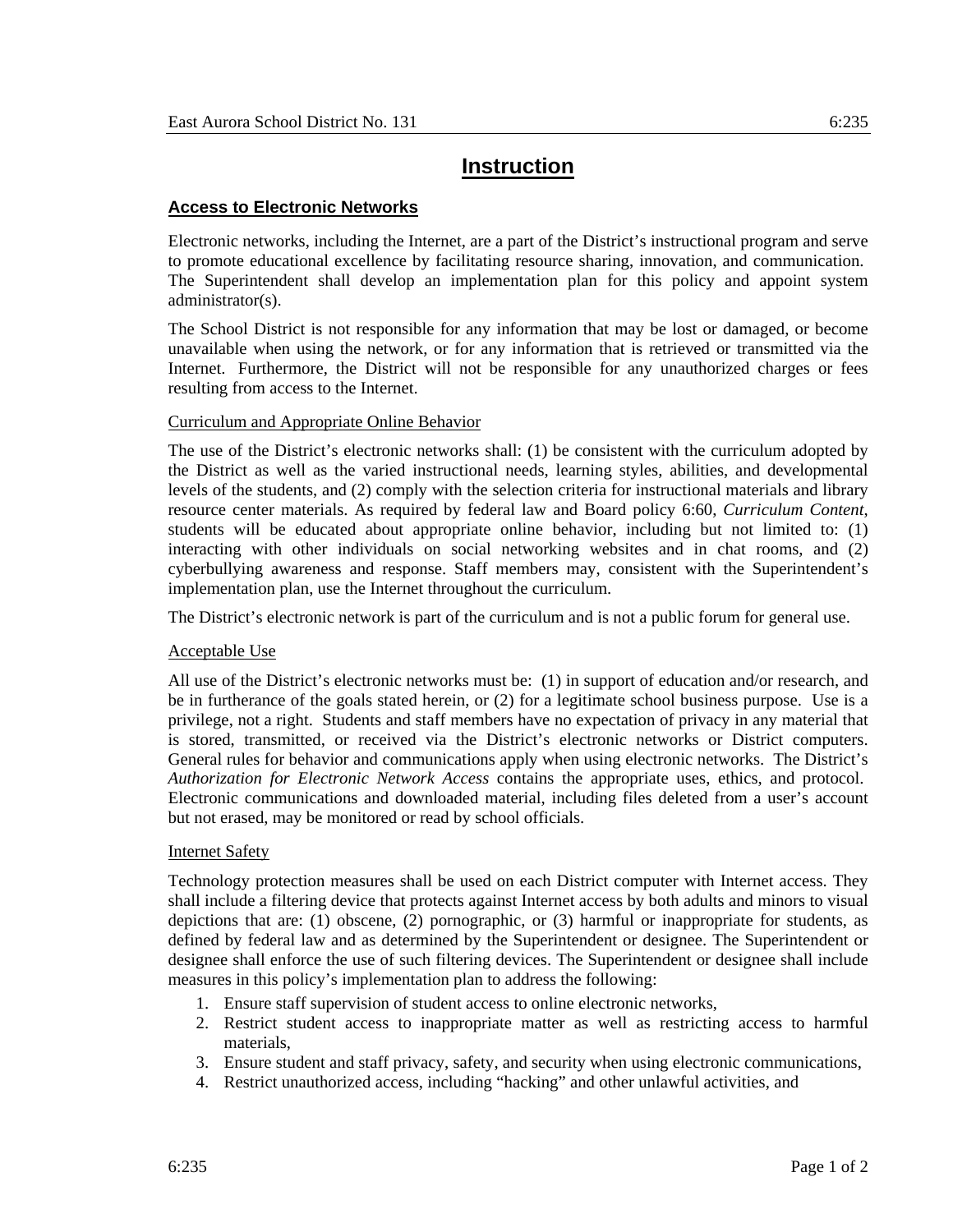# **Instruction**

## **Access to Electronic Networks**

Electronic networks, including the Internet, are a part of the District's instructional program and serve to promote educational excellence by facilitating resource sharing, innovation, and communication. The Superintendent shall develop an implementation plan for this policy and appoint system administrator(s).

The School District is not responsible for any information that may be lost or damaged, or become unavailable when using the network, or for any information that is retrieved or transmitted via the Internet. Furthermore, the District will not be responsible for any unauthorized charges or fees resulting from access to the Internet.

### Curriculum and Appropriate Online Behavior

The use of the District's electronic networks shall: (1) be consistent with the curriculum adopted by the District as well as the varied instructional needs, learning styles, abilities, and developmental levels of the students, and (2) comply with the selection criteria for instructional materials and library resource center materials. As required by federal law and Board policy 6:60, *Curriculum Content*, students will be educated about appropriate online behavior, including but not limited to: (1) interacting with other individuals on social networking websites and in chat rooms, and (2) cyberbullying awareness and response. Staff members may, consistent with the Superintendent's implementation plan, use the Internet throughout the curriculum.

The District's electronic network is part of the curriculum and is not a public forum for general use.

### Acceptable Use

All use of the District's electronic networks must be: (1) in support of education and/or research, and be in furtherance of the goals stated herein, or (2) for a legitimate school business purpose. Use is a privilege, not a right. Students and staff members have no expectation of privacy in any material that is stored, transmitted, or received via the District's electronic networks or District computers. General rules for behavior and communications apply when using electronic networks. The District's *Authorization for Electronic Network Access* contains the appropriate uses, ethics, and protocol. Electronic communications and downloaded material, including files deleted from a user's account but not erased, may be monitored or read by school officials.

### Internet Safety

Technology protection measures shall be used on each District computer with Internet access. They shall include a filtering device that protects against Internet access by both adults and minors to visual depictions that are: (1) obscene, (2) pornographic, or (3) harmful or inappropriate for students, as defined by federal law and as determined by the Superintendent or designee. The Superintendent or designee shall enforce the use of such filtering devices. The Superintendent or designee shall include measures in this policy's implementation plan to address the following:

- 1. Ensure staff supervision of student access to online electronic networks,
- 2. Restrict student access to inappropriate matter as well as restricting access to harmful materials,
- 3. Ensure student and staff privacy, safety, and security when using electronic communications,
- 4. Restrict unauthorized access, including "hacking" and other unlawful activities, and